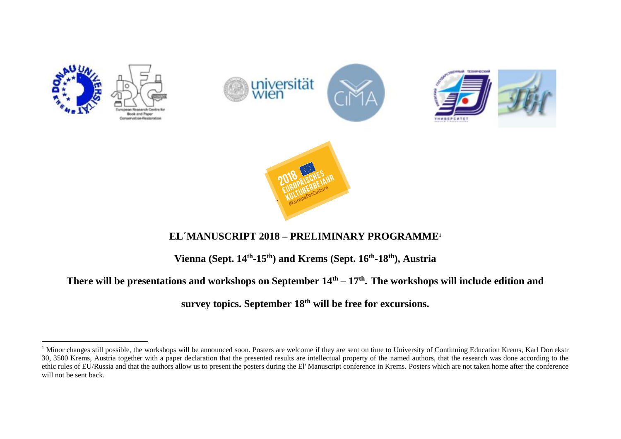

 $\overline{a}$ 







## **EL´MANUSCRIPT 2018 – PRELIMINARY PROGRAMME<sup>1</sup>**

**Vienna (Sept. 14th -15th) and Krems (Sept. 16th -18th), Austria**

## **There will be presentations and workshops on September 14th – 17th . The workshops will include edition and**

**survey topics. September 18th will be free for excursions.**

<sup>&</sup>lt;sup>1</sup> Minor changes still possible, the workshops will be announced soon. Posters are welcome if they are sent on time to University of Continuing Education Krems, Karl Dorrekstr 30, 3500 Krems, Austria together with a paper declaration that the presented results are intellectual property of the named authors, that the research was done according to the ethic rules of EU/Russia and that the authors allow us to present the posters during the El' Manuscript conference in Krems. Posters which are not taken home after the conference will not be sent back.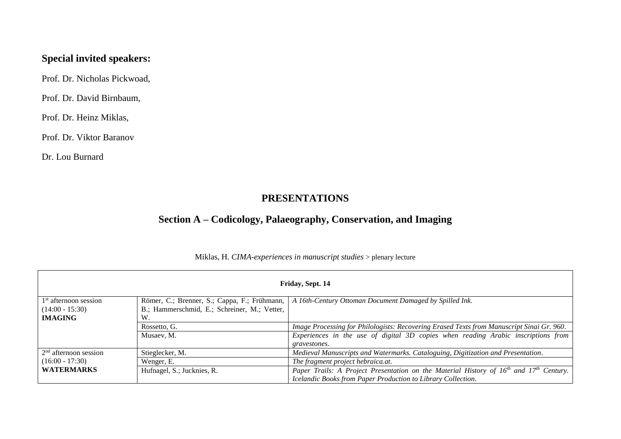## **Special invited speakers:**

Prof. Dr. Nicholas Pickwoad,

Prof. Dr. David Birnbaum,

Prof. Dr. Heinz Miklas,

Prof. Dr. Viktor Baranov

Dr. Lou Burnard

## **PRESENTATIONS**

## **Section A – Codicology, Palaeography, Conservation, and Imaging**

| Friday, Sept. 14                  |                                              |                                                                                            |  |
|-----------------------------------|----------------------------------------------|--------------------------------------------------------------------------------------------|--|
| 1 <sup>st</sup> afternoon session | Römer, C.; Brenner, S.; Cappa, F.; Frühmann, | A 16th-Century Ottoman Document Damaged by Spilled Ink.                                    |  |
| $(14:00 - 15:30)$                 | B.; Hammerschmid, E.; Schreiner, M.; Vetter, |                                                                                            |  |
| <b>IMAGING</b><br>W.              |                                              |                                                                                            |  |
|                                   | Rossetto, G.                                 | Image Processing for Philologists: Recovering Erased Texts from Manuscript Sinai Gr. 960.  |  |
|                                   | Musaev, M.                                   | Experiences in the use of digital 3D copies when reading Arabic inscriptions from          |  |
|                                   |                                              | gravestones.                                                                               |  |
| $2nd$ afternoon session           | Stieglecker, M.                              | Medieval Manuscripts and Watermarks. Cataloguing, Digitization and Presentation.           |  |
| $(16:00 - 17:30)$                 | Wenger, E.                                   | The fragment project hebraica.at.                                                          |  |
| <b>WATERMARKS</b>                 | Hufnagel, S.; Jucknies, R.                   | Paper Trails: A Project Presentation on the Material History of $16th$ and $17th$ Century. |  |
|                                   |                                              | Icelandic Books from Paper Production to Library Collection.                               |  |

### Miklas, H. *CIMA-experiences in manuscript studies* > plenary lecture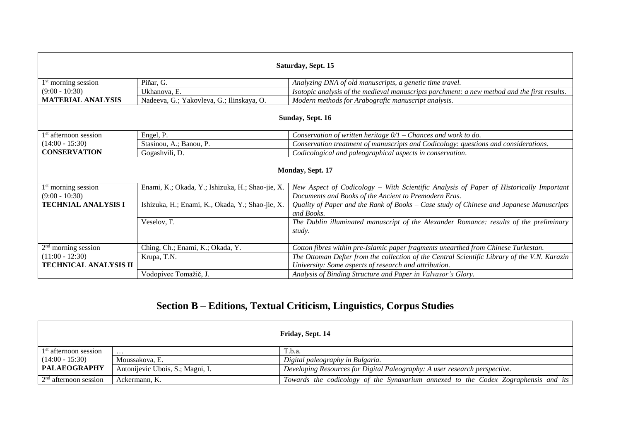| Saturday, Sept. 15                        |                                                  |                                                                                                                                                 |  |
|-------------------------------------------|--------------------------------------------------|-------------------------------------------------------------------------------------------------------------------------------------------------|--|
| $1st$ morning session                     | Piñar, G.                                        | Analyzing DNA of old manuscripts, a genetic time travel.                                                                                        |  |
| $(9:00 - 10:30)$                          | Ukhanova, E.                                     | Isotopic analysis of the medieval manuscripts parchment: a new method and the first results.                                                    |  |
| <b>MATERIAL ANALYSIS</b>                  | Nadeeva, G.; Yakovleva, G.; Ilinskaya, O.        | Modern methods for Arabografic manuscript analysis.                                                                                             |  |
| Sunday, Sept. 16                          |                                                  |                                                                                                                                                 |  |
| $1st$ afternoon session                   | Engel, P.                                        | Conservation of written heritage $0/1$ – Chances and work to do.                                                                                |  |
| $(14:00 - 15:30)$                         | Stasinou, A.; Banou, P.                          | Conservation treatment of manuscripts and Codicology: questions and considerations.                                                             |  |
| <b>CONSERVATION</b>                       | Gogashvili, D.                                   | Codicological and paleographical aspects in conservation.                                                                                       |  |
| Monday, Sept. 17                          |                                                  |                                                                                                                                                 |  |
| $1st$ morning session<br>$(9:00 - 10:30)$ | Enami, K.; Okada, Y.; Ishizuka, H.; Shao-jie, X. | New Aspect of Codicology – With Scientific Analysis of Paper of Historically Important<br>Documents and Books of the Ancient to Premodern Eras. |  |
| <b>TECHNIAL ANALYSIS I</b>                | Ishizuka, H.; Enami, K., Okada, Y.; Shao-jie, X. | Quality of Paper and the Rank of Books - Case study of Chinese and Japanese Manuscripts<br>and Books.                                           |  |
|                                           | Veselov, F.                                      | The Dublin illuminated manuscript of the Alexander Romance: results of the preliminary<br>study.                                                |  |
| $2nd$ morning session                     | Ching, Ch.; Enami, K.; Okada, Y.                 | Cotton fibres within pre-Islamic paper fragments unearthed from Chinese Turkestan.                                                              |  |
| $(11:00 - 12:30)$                         | Krupa, T.N.                                      | The Ottoman Defter from the collection of the Central Scientific Library of the V.N. Karazin                                                    |  |
| <b>TECHNICAL ANALYSIS II</b>              |                                                  | University: Some aspects of research and attribution.                                                                                           |  |
|                                           | Vodopivec Tomažič, J.                            | Analysis of Binding Structure and Paper in Valvasor's Glory.                                                                                    |  |

# **Section B – Editions, Textual Criticism, Linguistics, Corpus Studies**

|                         |                                  | Friday, Sept. 14                                                                   |
|-------------------------|----------------------------------|------------------------------------------------------------------------------------|
| $1st$ afternoon session | $\cdots$                         | T.b.a.                                                                             |
| $(14:00 - 15:30)$       | Moussakova. E.                   | Digital paleography in Bulgaria.                                                   |
| <b>PALAEOGRAPHY</b>     | Antonijevic Ubois, S.; Magni, I. | Developing Resources for Digital Paleography: A user research perspective.         |
| $2nd$ afternoon session | Ackermann, K.                    | Towards the codicology of the Synaxarium annexed to the Codex Zographensis and its |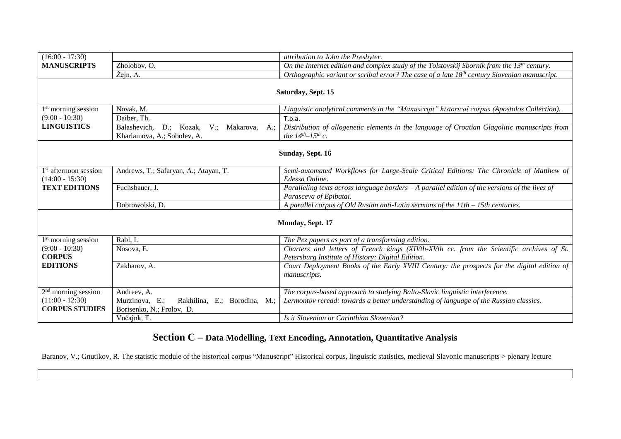| $(16:00 - 17:30)$                      |                                                          | attribution to John the Presbyter.                                                                                                            |
|----------------------------------------|----------------------------------------------------------|-----------------------------------------------------------------------------------------------------------------------------------------------|
| <b>MANUSCRIPTS</b>                     | Zholobov, O.                                             | On the Internet edition and complex study of the Tolstovskij Sbornik from the $13th$ century.                                                 |
|                                        | Žejn, A.                                                 | Orthographic variant or scribal error? The case of a late $18th$ century Slovenian manuscript.                                                |
|                                        |                                                          |                                                                                                                                               |
|                                        |                                                          | Saturday, Sept. 15                                                                                                                            |
|                                        |                                                          |                                                                                                                                               |
| $1st$ morning session                  | Novak, M.                                                | Linguistic analytical comments in the "Manuscript" historical corpus (Apostolos Collection).                                                  |
| $(9:00 - 10:30)$<br><b>LINGUISTICS</b> | Daiber, Th.                                              | T.b.a.                                                                                                                                        |
|                                        | $V$ .;<br>Balashevich,<br>D.; Kozak,<br>Makarova,<br>A.: | Distribution of allogenetic elements in the language of Croatian Glagolitic manuscripts from                                                  |
|                                        | Kharlamova, A.; Sobolev, A.                              | the $14^{th} - 15^{th}$ c.                                                                                                                    |
|                                        |                                                          | Sunday, Sept. 16                                                                                                                              |
|                                        |                                                          |                                                                                                                                               |
| $1st$ afternoon session                | Andrews, T.; Safaryan, A.; Atayan, T.                    | Semi-automated Workflows for Large-Scale Critical Editions: The Chronicle of Matthew of                                                       |
| $(14:00 - 15:30)$                      |                                                          | Edessa Online.                                                                                                                                |
| <b>TEXT EDITIONS</b>                   | Fuchsbauer, J.                                           | Paralleling texts across language borders $-A$ parallel edition of the versions of the lives of                                               |
|                                        |                                                          | Parasceva of Epibatai.                                                                                                                        |
|                                        | Dobrowolski, D.                                          | A parallel corpus of Old Rusian anti-Latin sermons of the 11th - 15th centuries.                                                              |
|                                        |                                                          |                                                                                                                                               |
|                                        |                                                          | Monday, Sept. 17                                                                                                                              |
|                                        |                                                          |                                                                                                                                               |
| $1st$ morning session                  | Rabl, I.                                                 | The Pez papers as part of a transforming edition.                                                                                             |
| $(9:00 - 10:30)$<br><b>CORPUS</b>      | Nosova, E.                                               | Charters and letters of French kings (XIVth-XVth cc. from the Scientific archives of St.<br>Petersburg Institute of History: Digital Edition. |
| <b>EDITIONS</b>                        | Zakharov, A.                                             | Court Deployment Books of the Early XVIII Century: the prospects for the digital edition of                                                   |
|                                        |                                                          | manuscripts.                                                                                                                                  |
|                                        |                                                          |                                                                                                                                               |
| $2nd$ morning session                  | Andreev, A.                                              | The corpus-based approach to studying Balto-Slavic linguistic interference.                                                                   |
| $(11:00 - 12:30)$                      | Rakhilina, E.; Borodina, M.;<br>Murzinova, E.;           | Lermontov reread: towards a better understanding of language of the Russian classics.                                                         |
| <b>CORPUS STUDIES</b>                  | Borisenko, N.; Frolov, D.                                |                                                                                                                                               |
|                                        | Vučajnk, T.                                              | Is it Slovenian or Carinthian Slovenian?                                                                                                      |

## **Section C – Data Modelling, Text Encoding, Annotation, Quantitative Analysis**

Baranov, V.; Gnutikov, R. The statistic module of the historical corpus "Manuscript" Historical corpus, linguistic statistics, medieval Slavonic manuscripts > plenary lecture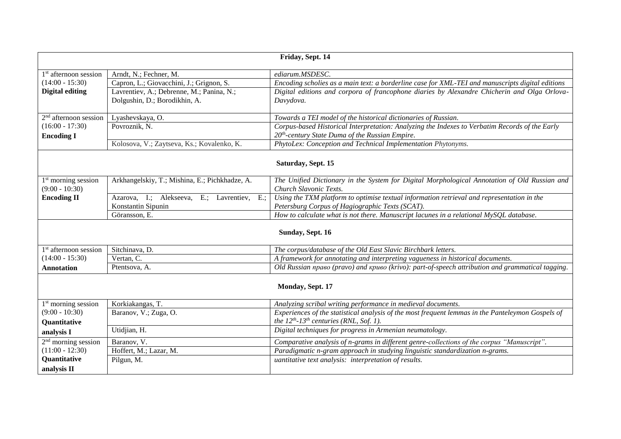| Friday, Sept. 14                                    |                                                                            |                                                                                                                        |  |
|-----------------------------------------------------|----------------------------------------------------------------------------|------------------------------------------------------------------------------------------------------------------------|--|
| 1 <sup>st</sup> afternoon session                   | Arndt, N.; Fechner, M.                                                     | ediarum.MSDESC.                                                                                                        |  |
| $(14:00 - 15:30)$                                   | Capron, L.; Giovacchini, J.; Grignon, S.                                   | Encoding scholies as a main text: a borderline case for XML-TEI and manuscripts digital editions                       |  |
| <b>Digital editing</b>                              | Lavrentiev, A.; Debrenne, M.; Panina, N.;<br>Dolgushin, D.; Borodikhin, A. | Digital editions and corpora of francophone diaries by Alexandre Chicherin and Olga Orlova-<br>Davydova.               |  |
| $2nd$ afternoon session                             | Lyashevskaya, O.                                                           | Towards a TEI model of the historical dictionaries of Russian.                                                         |  |
| $(16:00 - 17:30)$                                   | Povroznik, N.                                                              | Corpus-based Historical Interpretation: Analyzing the Indexes to Verbatim Records of the Early                         |  |
| <b>Encoding I</b>                                   |                                                                            | $20th$ -century State Duma of the Russian Empire.                                                                      |  |
|                                                     | Kolosova, V.; Zaytseva, Ks.; Kovalenko, K.                                 | PhytoLex: Conception and Technical Implementation Phytonyms.                                                           |  |
| Saturday, Sept. 15                                  |                                                                            |                                                                                                                        |  |
| 1 <sup>st</sup> morning session<br>$(9:00 - 10:30)$ | Arkhangelskiy, T.; Mishina, E.; Pichkhadze, A.                             | The Unified Dictionary in the System for Digital Morphological Annotation of Old Russian and<br>Church Slavonic Texts. |  |
| <b>Encoding II</b>                                  | Azarova, I.; Alekseeva, E.; Lavrentiev, E.;                                | Using the TXM platform to optimise textual information retrieval and representation in the                             |  |
|                                                     | Konstantin Sipunin                                                         | Petersburg Corpus of Hagiographic Texts (SCAT).                                                                        |  |
|                                                     | Göransson. E.                                                              | How to calculate what is not there. Manuscript lacunes in a relational MySQL database.                                 |  |
| Sunday, Sept. 16                                    |                                                                            |                                                                                                                        |  |
| 1 <sup>st</sup> afternoon session                   | Sitchinava, D.                                                             | The corpus/database of the Old East Slavic Birchbark letters.                                                          |  |
| $(14:00 - 15:30)$                                   | Vertan, C.                                                                 | A framework for annotating and interpreting vagueness in historical documents.                                         |  |
| <b>Annotation</b>                                   | Ptentsova, A.                                                              | Old Russian npaso (pravo) and kpuso (krivo): part-of-speech attribution and grammatical tagging.                       |  |
| Monday, Sept. 17                                    |                                                                            |                                                                                                                        |  |
| 1 <sup>st</sup> morning session                     | Korkiakangas, T.                                                           | Analyzing scribal writing performance in medieval documents.                                                           |  |
| $(9:00 - 10:30)$                                    | Baranov, V.; Zuga, O.                                                      | Experiences of the statistical analysis of the most frequent lemmas in the Panteleymon Gospels of                      |  |
| Quantitative                                        |                                                                            | the $12^{th}$ -13 <sup>th</sup> centuries (RNL, Sof. 1).                                                               |  |
| analysis I                                          | Utidjian, H.                                                               | Digital techniques for progress in Armenian neumatology.                                                               |  |
| $2nd$ morning session                               | Baranov, V.                                                                | Comparative analysis of n-grams in different genre-collections of the corpus "Manuscript".                             |  |
| $(11:00 - 12:30)$                                   | Hoffert, M.; Lazar, M.                                                     | Paradigmatic n-gram approach in studying linguistic standardization n-grams.                                           |  |
| <b>Quantitative</b>                                 | Pilgun, M.                                                                 | uantitative text analysis: interpretation of results.                                                                  |  |
| analysis II                                         |                                                                            |                                                                                                                        |  |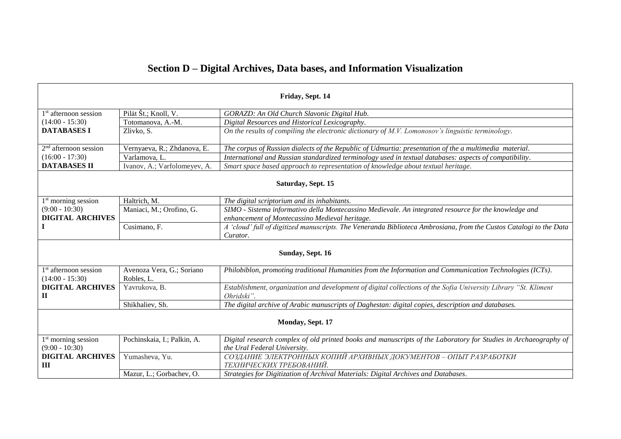| Section D – Digital Archives, Data bases, and Information Visualization |
|-------------------------------------------------------------------------|
|-------------------------------------------------------------------------|

| Friday, Sept. 14                                    |                                         |                                                                                                                                                 |
|-----------------------------------------------------|-----------------------------------------|-------------------------------------------------------------------------------------------------------------------------------------------------|
| $1st$ afternoon session                             | Pilát Št.; Knoll, V.                    | GORAZD: An Old Church Slavonic Digital Hub.                                                                                                     |
| $(14:00 - 15:30)$                                   | Totomanova, A.-M.                       | Digital Resources and Historical Lexicography.                                                                                                  |
| <b>DATABASES I</b>                                  | Zlivko, S.                              | On the results of compiling the electronic dictionary of $M.V.$ Lomonosov's linguistic terminology.                                             |
|                                                     |                                         |                                                                                                                                                 |
| $2nd$ afternoon session                             | Vernyaeva, R.; Zhdanova, E.             | The corpus of Russian dialects of the Republic of Udmurtia: presentation of the a multimedia material.                                          |
| $(16:00 - 17:30)$                                   | Varlamova, L.                           | International and Russian standardized terminology used in textual databases: aspects of compatibility.                                         |
| <b>DATABASES II</b>                                 | Ivanov, A.; Varfolomeyev, A.            | Smart space based approach to representation of knowledge about textual heritage.                                                               |
| Saturday, Sept. 15                                  |                                         |                                                                                                                                                 |
| 1 <sup>st</sup> morning session                     | Haltrich, M.                            | The digital scriptorium and its inhabitants.                                                                                                    |
| $(9:00 - 10:30)$                                    | Maniaci, M.; Orofino, G.                | SIMO - Sistema informativo della Montecassino Medievale. An integrated resource for the knowledge and                                           |
| <b>DIGITAL ARCHIVES</b>                             |                                         | enhancement of Montecassino Medieval heritage.                                                                                                  |
|                                                     | Cusimano, F.                            | A 'cloud' full of digitized manuscripts. The Veneranda Biblioteca Ambrosiana, from the Custos Catalogi to the Data                              |
|                                                     |                                         | Curator.                                                                                                                                        |
| Sunday, Sept. 16                                    |                                         |                                                                                                                                                 |
| $1st$ afternoon session<br>$(14:00 - 15:30)$        | Avenoza Vera, G.; Soriano<br>Robles, L. | Philobiblon, promoting traditional Humanities from the Information and Communication Technologies (ICTs).                                       |
| <b>DIGITAL ARCHIVES</b><br>П                        | Yavrukova, B.                           | Establishment, organization and development of digital collections of the Sofia University Library "St. Kliment<br>Ohridski".                   |
|                                                     | Shikhaliev, Sh.                         | The digital archive of Arabic manuscripts of Daghestan: digital copies, description and databases.                                              |
| Monday, Sept. 17                                    |                                         |                                                                                                                                                 |
| 1 <sup>st</sup> morning session<br>$(9:00 - 10:30)$ | Pochinskaia, I.; Palkin, A.             | Digital research complex of old printed books and manuscripts of the Laboratory for Studies in Archaeography of<br>the Ural Federal University. |
| <b>DIGITAL ARCHIVES</b><br>Ш                        | Yumasheva, Yu.                          | СОЗДАНИЕ ЭЛЕКТРОННЫХ КОПИЙ АРХИВНЫХ ДОКУМЕНТОВ - ОПЫТ РАЗРАБОТКИ<br>ТЕХНИЧЕСКИХ ТРЕБОВАНИЙ.                                                     |
|                                                     | Mazur, L.; Gorbachev, O.                | Strategies for Digitization of Archival Materials: Digital Archives and Databases.                                                              |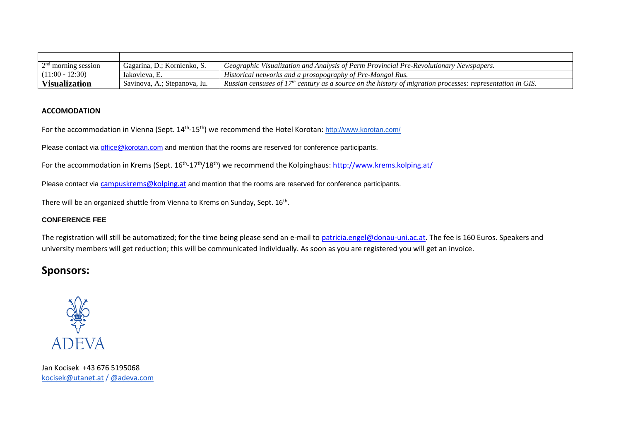| $2nd$ morning session | Gagarina, D.: Kornienko, S.  | Geographic Visualization and Analysis of Perm Provincial Pre-Revolutionary Newspapers.                                 |
|-----------------------|------------------------------|------------------------------------------------------------------------------------------------------------------------|
| $(11:00 - 12:30)$     | lakovleva. E.                | Historical networks and a prosopography of Pre-Mongol Rus.                                                             |
| <b>Visualization</b>  | Savinova, A.; Stepanova, Iu. | Russian censuses of 17 <sup>th</sup> century as a source on the history of migration processes: representation in GIS. |

#### **ACCOMODATION**

For the accommodation in Vienna (Sept. 14<sup>th</sup>-15<sup>th</sup>) we recommend the Hotel Korotan: <u><http://www.korotan.com/></u>

Please contact via [office@korotan.com](mailto:office@korotan.com) and mention that the rooms are reserved for conference participants.

For the accommodation in Krems (Sept. 16<sup>th</sup>-17<sup>th</sup>/18<sup>th</sup>) we recommend the Kolpinghaus: <u><http://www.krems.kolping.at/></u>

Please contact via [campuskrems@kolping.at](mailto:campuskrems@kolping.at) and mention that the rooms are reserved for conference participants.

There will be an organized shuttle from Vienna to Krems on Sunday, Sept. 16<sup>th</sup>.

### **CONFERENCE FEE**

The registration will still be automatized; for the time being please send an e-mail to [patricia.engel@donau-uni.ac.at.](mailto:patricia.engel@donau-uni.ac.at) The fee is 160 Euros. Speakers and university members will get reduction; this will be communicated individually. As soon as you are registered you will get an invoice.

### **Sponsors:**



Jan Kocisek +43 676 5195068 [kocisek@utanet.at](mailto:kocisek@utanet.at) / [@adeva.com](mailto:kocisek@adeva.com)